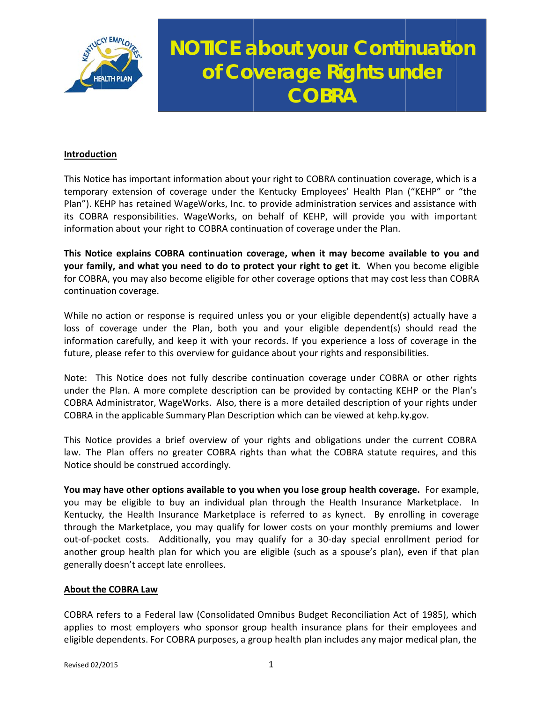

# **NOTICE about your Continuation** of Coverage Rights under **COBRA**

## Introduction

This Notice has important information about your right to COBRA continuation coverage, which is a temporary extension of coverage under the Kentucky Employees' Health Plan ("KEHP" or "the Plan"). KEHP has retained WageWorks, Inc. to provide administration services and assistance with its COBRA responsibilities. WageWorks, on behalf of KEHP, will provide you with important information about your right to COBRA continuation of coverage under the Plan.

This Notice explains COBRA continuation coverage, when it may become available to you and your family, and what you need to do to protect your right to get it. When you become eligible for COBRA, you may also become eligible for other coverage options that may cost less than COBRA continuation coverage.

While no action or response is required unless you or your eligible dependent(s) actually have a loss of coverage under the Plan, both you and your eligible dependent(s) should read the information carefully, and keep it with your records. If you experience a loss of coverage in the future, please refer to this overview for guidance about your rights and responsibilities.

Note: This Notice does not fully describe continuation coverage under COBRA or other rights under the Plan. A more complete description can be provided by contacting KEHP or the Plan's COBRA Administrator, WageWorks. Also, there is a more detailed description of your rights under COBRA in the applicable Summary Plan Description which can be viewed at kehp.ky.gov.

This Notice provides a brief overview of your rights and obligations under the current COBRA law. The Plan offers no greater COBRA rights than what the COBRA statute requires, and this Notice should be construed accordingly.

You may have other options available to you when you lose group health coverage. For example, you may be eligible to buy an individual plan through the Health Insurance Marketplace. In Kentucky, the Health Insurance Marketplace is referred to as kynect. By enrolling in coverage through the Marketplace, you may qualify for lower costs on your monthly premiums and lower out-of-pocket costs. Additionally, you may qualify for a 30-day special enrollment period for another group health plan for which you are eligible (such as a spouse's plan), even if that plan generally doesn't accept late enrollees.

### **About the COBRA Law**

COBRA refers to a Federal law (Consolidated Omnibus Budget Reconciliation Act of 1985), which applies to most employers who sponsor group health insurance plans for their employees and eligible dependents. For COBRA purposes, a group health plan includes any major medical plan, the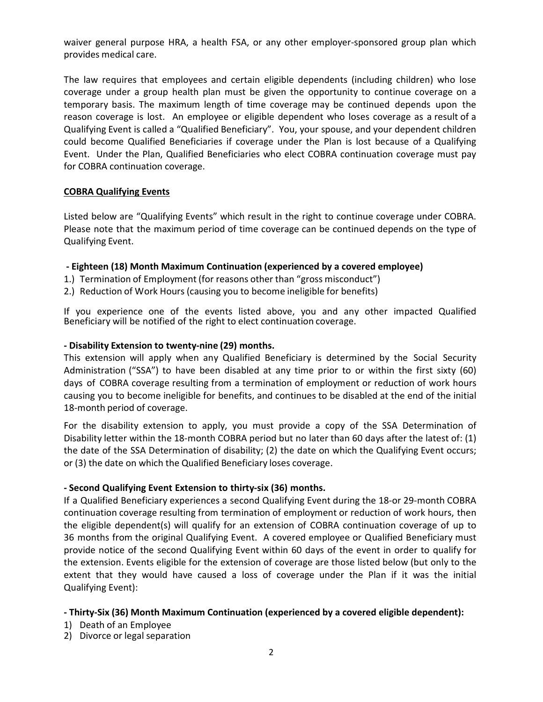waiver general purpose HRA, a health FSA, or any other employer-sponsored group plan which provides medical care.

The law requires that employees and certain eligible dependents (including children) who lose coverage under a group health plan must be given the opportunity to continue coverage on a temporary basis. The maximum length of time coverage may be continued depends upon the reason coverage is lost. An employee or eligible dependent who loses coverage as a result of a Qualifying Event is called a "Qualified Beneficiary". You, your spouse, and your dependent children could become Qualified Beneficiaries if coverage under the Plan is lost because of a Qualifying Event. Under the Plan, Qualified Beneficiaries who elect COBRA continuation coverage must pay for COBRA continuation coverage.

## **COBRA Qualifying Events**

Listed below are "Qualifying Events" which result in the right to continue coverage under COBRA. Please note that the maximum period of time coverage can be continued depends on the type of Qualifying Event.

## **‐ Eighteen (18) Month Maximum Continuation (experienced by a covered employee)**

- 1.) Termination of Employment (for reasons other than "gross misconduct")
- 2.) Reduction of Work Hours (causing you to become ineligible for benefits)

If you experience one of the events listed above, you and any other impacted Qualified Beneficiary will be notified of the right to elect continuation coverage.

## **‐ Disability Extension to twenty‐nine (29) months.**

This extension will apply when any Qualified Beneficiary is determined by the Social Security Administration ("SSA") to have been disabled at any time prior to or within the first sixty (60) days of COBRA coverage resulting from a termination of employment or reduction of work hours causing you to become ineligible for benefits, and continues to be disabled at the end of the initial 18‐month period of coverage.

For the disability extension to apply, you must provide a copy of the SSA Determination of Disability letter within the 18-month COBRA period but no later than 60 days after the latest of: (1) the date of the SSA Determination of disability; (2) the date on which the Qualifying Event occurs; or (3) the date on which the Qualified Beneficiary loses coverage.

### **‐ Second Qualifying Event Extension to thirty‐six (36) months.**

If a Qualified Beneficiary experiences a second Qualifying Event during the 18‐or 29‐month COBRA continuation coverage resulting from termination of employment or reduction of work hours, then the eligible dependent(s) will qualify for an extension of COBRA continuation coverage of up to 36 months from the original Qualifying Event. A covered employee or Qualified Beneficiary must provide notice of the second Qualifying Event within 60 days of the event in order to qualify for the extension. Events eligible for the extension of coverage are those listed below (but only to the extent that they would have caused a loss of coverage under the Plan if it was the initial Qualifying Event):

### **‐ Thirty‐Six (36) Month Maximum Continuation (experienced by a covered eligible dependent):**

- 1) Death of an Employee
- 2) Divorce or legal separation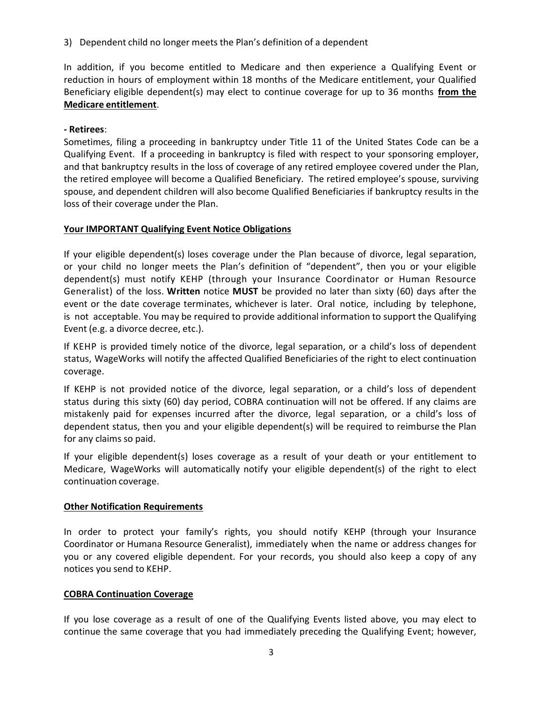3) Dependent child no longer meets the Plan's definition of a dependent

In addition, if you become entitled to Medicare and then experience a Qualifying Event or reduction in hours of employment within 18 months of the Medicare entitlement, your Qualified Beneficiary eligible dependent(s) may elect to continue coverage for up to 36 months **from the Medicare entitlement**.

# **‐ Retirees**:

Sometimes, filing a proceeding in bankruptcy under Title 11 of the United States Code can be a Qualifying Event. If a proceeding in bankruptcy is filed with respect to your sponsoring employer, and that bankruptcy results in the loss of coverage of any retired employee covered under the Plan, the retired employee will become a Qualified Beneficiary. The retired employee's spouse, surviving spouse, and dependent children will also become Qualified Beneficiaries if bankruptcy results in the loss of their coverage under the Plan.

# **Your IMPORTANT Qualifying Event Notice Obligations**

If your eligible dependent(s) loses coverage under the Plan because of divorce, legal separation, or your child no longer meets the Plan's definition of "dependent", then you or your eligible dependent(s) must notify KEHP (through your Insurance Coordinator or Human Resource Generalist) of the loss. **Written** notice **MUST** be provided no later than sixty (60) days after the event or the date coverage terminates, whichever is later. Oral notice, including by telephone, is not acceptable. You may be required to provide additional information to support the Qualifying Event (e.g. a divorce decree, etc.).

If KEHP is provided timely notice of the divorce, legal separation, or a child's loss of dependent status, WageWorks will notify the affected Qualified Beneficiaries of the right to elect continuation coverage.

If KEHP is not provided notice of the divorce, legal separation, or a child's loss of dependent status during this sixty (60) day period, COBRA continuation will not be offered. If any claims are mistakenly paid for expenses incurred after the divorce, legal separation, or a child's loss of dependent status, then you and your eligible dependent(s) will be required to reimburse the Plan for any claims so paid.

If your eligible dependent(s) loses coverage as a result of your death or your entitlement to Medicare, WageWorks will automatically notify your eligible dependent(s) of the right to elect continuation coverage.

# **Other Notification Requirements**

In order to protect your family's rights, you should notify KEHP (through your Insurance Coordinator or Humana Resource Generalist), immediately when the name or address changes for you or any covered eligible dependent. For your records, you should also keep a copy of any notices you send to KEHP.

# **COBRA Continuation Coverage**

If you lose coverage as a result of one of the Qualifying Events listed above, you may elect to continue the same coverage that you had immediately preceding the Qualifying Event; however,